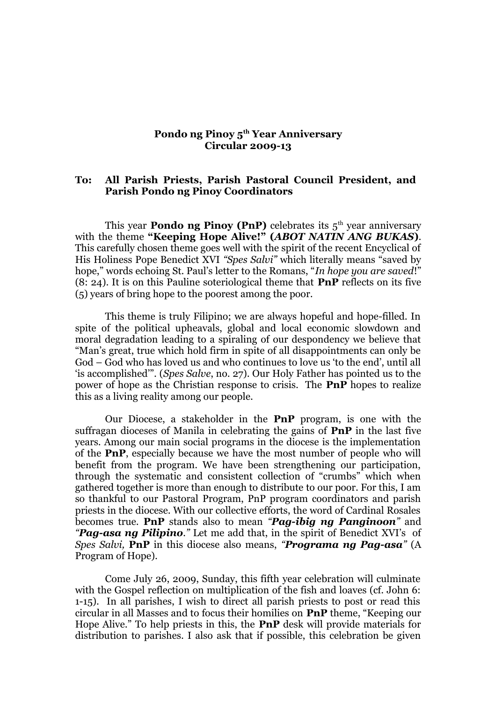## **Pondo ng Pinoy 5th Year Anniversary Circular 2009-13**

## **To: All Parish Priests, Parish Pastoral Council President, and Parish Pondo ng Pinoy Coordinators**

This year **Pondo ng Pinoy (PnP)** celebrates its  $5<sup>th</sup>$  year anniversary with the theme **"Keeping Hope Alive!" (***ABOT NATIN ANG BUKAS***)**. This carefully chosen theme goes well with the spirit of the recent Encyclical of His Holiness Pope Benedict XVI *"Spes Salvi"* which literally means "saved by hope," words echoing St. Paul's letter to the Romans, "*In hope you are saved*!" (8: 24). It is on this Pauline soteriological theme that **PnP** reflects on its five (5) years of bring hope to the poorest among the poor.

This theme is truly Filipino; we are always hopeful and hope-filled. In spite of the political upheavals, global and local economic slowdown and moral degradation leading to a spiraling of our despondency we believe that "Man's great, true which hold firm in spite of all disappointments can only be God – God who has loved us and who continues to love us 'to the end', until all 'is accomplished'". (*Spes Salve*, no. 27). Our Holy Father has pointed us to the power of hope as the Christian response to crisis. The **PnP** hopes to realize this as a living reality among our people.

Our Diocese, a stakeholder in the **PnP** program, is one with the suffragan dioceses of Manila in celebrating the gains of **PnP** in the last five years. Among our main social programs in the diocese is the implementation of the **PnP**, especially because we have the most number of people who will benefit from the program. We have been strengthening our participation, through the systematic and consistent collection of "crumbs" which when gathered together is more than enough to distribute to our poor. For this, I am so thankful to our Pastoral Program, PnP program coordinators and parish priests in the diocese. With our collective efforts, the word of Cardinal Rosales becomes true. **PnP** stands also to mean *"Pag-ibig ng Panginoon"* and *"Pag-asa ng Pilipino."* Let me add that, in the spirit of Benedict XVI's of *Spes Salvi,* **PnP** in this diocese also means, *"Programa ng Pag-asa"* (A Program of Hope).

Come July 26, 2009, Sunday, this fifth year celebration will culminate with the Gospel reflection on multiplication of the fish and loaves (cf. John 6: 1-15). In all parishes, I wish to direct all parish priests to post or read this circular in all Masses and to focus their homilies on **PnP** theme, "Keeping our Hope Alive." To help priests in this, the **PnP** desk will provide materials for distribution to parishes. I also ask that if possible, this celebration be given